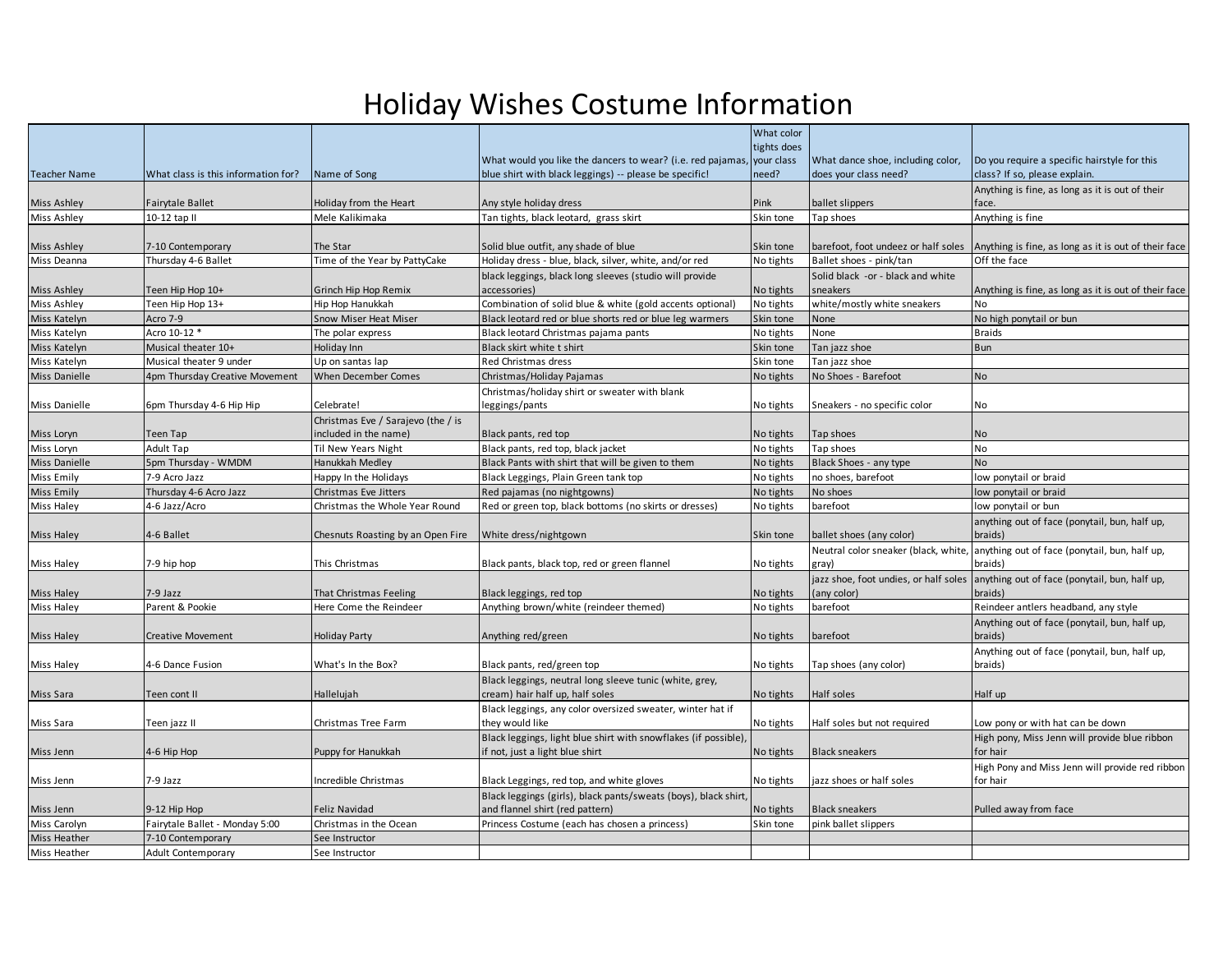## Holiday Wishes Costume Information

|                              |                                                |                                         |                                                                                  | What color             |                                                      |                                                          |
|------------------------------|------------------------------------------------|-----------------------------------------|----------------------------------------------------------------------------------|------------------------|------------------------------------------------------|----------------------------------------------------------|
|                              |                                                |                                         |                                                                                  | tights does            |                                                      |                                                          |
|                              |                                                |                                         | What would you like the dancers to wear? (i.e. red pajamas, your class           |                        | What dance shoe, including color,                    | Do you require a specific hairstyle for this             |
| <b>Teacher Name</b>          | What class is this information for?            | Name of Song                            | blue shirt with black leggings) -- please be specific!                           | need?                  | does your class need?                                | class? If so, please explain.                            |
| <b>Miss Ashley</b>           | <b>Fairytale Ballet</b>                        | Holiday from the Heart                  | Any style holiday dress                                                          | Pink                   | ballet slippers                                      | Anything is fine, as long as it is out of their<br>face. |
| <b>Miss Ashley</b>           | 10-12 tap II                                   | Mele Kalikimaka                         | Tan tights, black leotard, grass skirt                                           | Skin tone              | Tap shoes                                            | Anything is fine                                         |
|                              |                                                |                                         |                                                                                  |                        |                                                      |                                                          |
| <b>Miss Ashley</b>           | 7-10 Contemporary                              | The Star                                | Solid blue outfit, any shade of blue                                             | Skin tone              | barefoot, foot undeez or half soles                  | Anything is fine, as long as it is out of their face     |
| Miss Deanna                  | Thursday 4-6 Ballet                            | Time of the Year by PattyCake           | Holiday dress - blue, black, silver, white, and/or red                           | No tights              | Ballet shoes - pink/tan                              | Off the face                                             |
| <b>Miss Ashley</b>           | Teen Hip Hop 10+                               | Grinch Hip Hop Remix                    | black leggings, black long sleeves (studio will provide<br>accessories)          | No tights              | Solid black -or - black and white<br>sneakers        | Anything is fine, as long as it is out of their face     |
| <b>Miss Ashley</b>           | Teen Hip Hop 13+                               | Hip Hop Hanukkah                        | Combination of solid blue & white (gold accents optional)                        | No tights              | white/mostly white sneakers                          | <b>No</b>                                                |
| Miss Katelyn                 | Acro 7-9                                       | Snow Miser Heat Miser                   | Black leotard red or blue shorts red or blue leg warmers                         | Skin tone              | <b>None</b>                                          | No high ponytail or bun                                  |
| Miss Katelyn                 | Acro 10-12 *                                   | The polar express                       | Black leotard Christmas pajama pants                                             | No tights              | None                                                 | <b>Braids</b>                                            |
| Miss Katelyn                 | Musical theater 10+                            | Holiday Inn                             | Black skirt white t shirt                                                        | Skin tone              | Tan jazz shoe                                        | Bun                                                      |
| Miss Katelyn                 | Musical theater 9 under                        | Up on santas lap                        | <b>Red Christmas dress</b>                                                       | Skin tone              | Tan jazz shoe                                        |                                                          |
| <b>Miss Danielle</b>         | 4pm Thursday Creative Movement                 | When December Comes                     | Christmas/Holiday Pajamas                                                        | No tights              | No Shoes - Barefoot                                  | No                                                       |
|                              |                                                |                                         | Christmas/holiday shirt or sweater with blank                                    |                        |                                                      |                                                          |
| Miss Danielle                | 6pm Thursday 4-6 Hip Hip                       | Celebrate!                              | leggings/pants                                                                   | No tights              | Sneakers - no specific color                         | No                                                       |
|                              |                                                | Christmas Eve / Sarajevo (the / is      |                                                                                  |                        |                                                      |                                                          |
| Miss Loryn                   | Teen Tap                                       | included in the name)                   | Black pants, red top                                                             | No tights              | Tap shoes                                            | <b>No</b>                                                |
| Miss Loryn                   | <b>Adult Tap</b>                               | Til New Years Night                     | Black pants, red top, black jacket                                               | No tights              | Tap shoes                                            | No                                                       |
| <b>Miss Danielle</b>         | 5pm Thursday - WMDM                            | Hanukkah Medley                         | Black Pants with shirt that will be given to them                                | No tights              | Black Shoes - any type                               | N <sub>o</sub>                                           |
| <b>Miss Emily</b>            | 7-9 Acro Jazz                                  | Happy In the Holidays                   | Black Leggings, Plain Green tank top                                             | No tights              | no shoes, barefoot                                   | low ponytail or braid                                    |
| <b>Miss Emily</b>            | Thursday 4-6 Acro Jazz                         | Christmas Eve Jitters                   | Red pajamas (no nightgowns)                                                      | No tights              | No shoes                                             | low ponytail or braid                                    |
| <b>Miss Haley</b>            | 4-6 Jazz/Acro                                  | Christmas the Whole Year Round          | Red or green top, black bottoms (no skirts or dresses)                           | No tights              | barefoot                                             | low ponytail or bun                                      |
|                              |                                                |                                         |                                                                                  |                        |                                                      | anything out of face (ponytail, bun, half up,            |
| <b>Miss Haley</b>            | 4-6 Ballet                                     | Chesnuts Roasting by an Open Fire       | White dress/nightgown                                                            | Skin tone              | ballet shoes (any color)                             | braids)                                                  |
|                              |                                                |                                         |                                                                                  |                        | Neutral color sneaker (black, white,                 | anything out of face (ponytail, bun, half up,            |
| <b>Miss Haley</b>            | 7-9 hip hop                                    | This Christmas                          | Black pants, black top, red or green flannel                                     | No tights              | gray)                                                | braids)                                                  |
| <b>Miss Haley</b>            | 7-9 Jazz                                       | That Christmas Feeling                  | Black leggings, red top                                                          | No tights              | jazz shoe, foot undies, or half soles<br>(any color) | anything out of face (ponytail, bun, half up,<br>braids) |
| <b>Miss Haley</b>            | Parent & Pookie                                | Here Come the Reindeer                  | Anything brown/white (reindeer themed)                                           | No tights              | barefoot                                             | Reindeer antlers headband, any style                     |
|                              |                                                |                                         |                                                                                  |                        |                                                      | Anything out of face (ponytail, bun, half up,            |
| <b>Miss Haley</b>            | <b>Creative Movement</b>                       | Holiday Party                           | Anything red/green                                                               | No tights              | barefoot                                             | braids)                                                  |
|                              |                                                |                                         |                                                                                  |                        |                                                      | Anything out of face (ponytail, bun, half up,            |
| <b>Miss Haley</b>            | 4-6 Dance Fusion                               | What's In the Box?                      | Black pants, red/green top                                                       | No tights              | Tap shoes (any color)                                | braids)                                                  |
|                              |                                                |                                         | Black leggings, neutral long sleeve tunic (white, grey,                          |                        |                                                      |                                                          |
| Miss Sara                    | Teen cont II                                   | Hallelujah                              | cream) hair half up, half soles                                                  | No tights              | Half soles                                           | Half up                                                  |
| Miss Sara                    | Teen jazz II                                   | Christmas Tree Farm                     | Black leggings, any color oversized sweater, winter hat if<br>they would like    | No tights              | Half soles but not required                          | Low pony or with hat can be down                         |
|                              |                                                |                                         | Black leggings, light blue shirt with snowflakes (if possible),                  |                        |                                                      | High pony, Miss Jenn will provide blue ribbon            |
| Miss Jenn                    | 4-6 Hip Hop                                    | Puppy for Hanukkah                      | if not, just a light blue shirt                                                  | No tights              | <b>Black sneakers</b>                                | for hair                                                 |
|                              |                                                |                                         |                                                                                  |                        |                                                      | High Pony and Miss Jenn will provide red ribbon          |
| Miss Jenn                    | 7-9 Jazz                                       | Incredible Christmas                    | Black Leggings, red top, and white gloves                                        | No tights              | jazz shoes or half soles                             | for hair                                                 |
|                              |                                                |                                         | Black leggings (girls), black pants/sweats (boys), black shirt,                  |                        |                                                      |                                                          |
| Miss Jenn<br>Miss Carolyn    | 9-12 Hip Hop<br>Fairytale Ballet - Monday 5:00 | Feliz Navidad<br>Christmas in the Ocean | and flannel shirt (red pattern)<br>Princess Costume (each has chosen a princess) | No tights<br>Skin tone | <b>Black sneakers</b><br>pink ballet slippers        | Pulled away from face                                    |
|                              |                                                |                                         |                                                                                  |                        |                                                      |                                                          |
| Miss Heather<br>Miss Heather | 7-10 Contemporary                              | See Instructor                          |                                                                                  |                        |                                                      |                                                          |
|                              | Adult Contemporary                             | See Instructor                          |                                                                                  |                        |                                                      |                                                          |